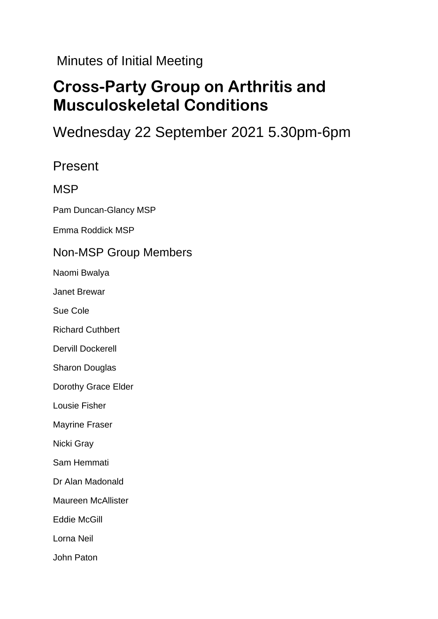Minutes of Initial Meeting

# **Cross-Party Group on Arthritis and Musculoskeletal Conditions**

# Wednesday 22 September 2021 5.30pm-6pm

### Present

#### MSP

Pam Duncan-Glancy MSP

Emma Roddick MSP

#### Non-MSP Group Members

Naomi Bwalya

Janet Brewar

Sue Cole

Richard Cuthbert

Dervill Dockerell

Sharon Douglas

Dorothy Grace Elder

Lousie Fisher

Mayrine Fraser

Nicki Gray

Sam Hemmati

Dr Alan Madonald

Maureen McAllister

Eddie McGill

Lorna Neil

John Paton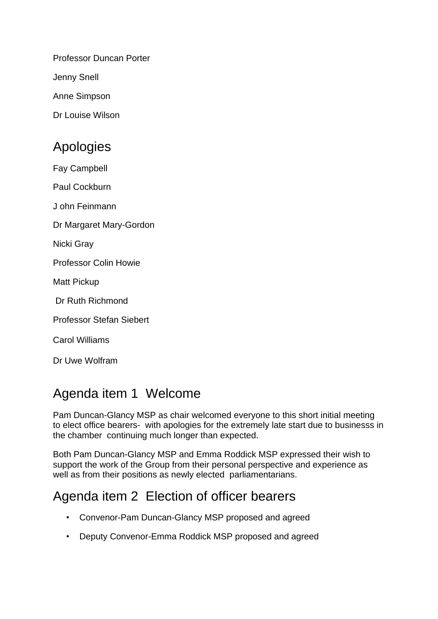Professor Duncan Porter

Jenny Snell

Anne Simpson

Dr Louise Wilson

# Apologies

Fay Campbell

Paul Cockburn

J ohn Feinmann

Dr Margaret Mary-Gordon

Nicki Gray

Professor Colin Howie

Matt Pickup

Dr Ruth Richmond

Professor Stefan Siebert

Carol Williams

Dr Uwe Wolfram

# Agenda item 1 Welcome

Pam Duncan-Glancy MSP as chair welcomed everyone to this short initial meeting to elect office bearers- with apologies for the extremely late start due to businesss in the chamber continuing much longer than expected.

Both Pam Duncan-Glancy MSP and Emma Roddick MSP expressed their wish to support the work of the Group from their personal perspective and experience as well as from their positions as newly elected parliamentarians.

# Agenda item 2 Election of officer bearers

- Convenor-Pam Duncan-Glancy MSP proposed and agreed
- Deputy Convenor-Emma Roddick MSP proposed and agreed